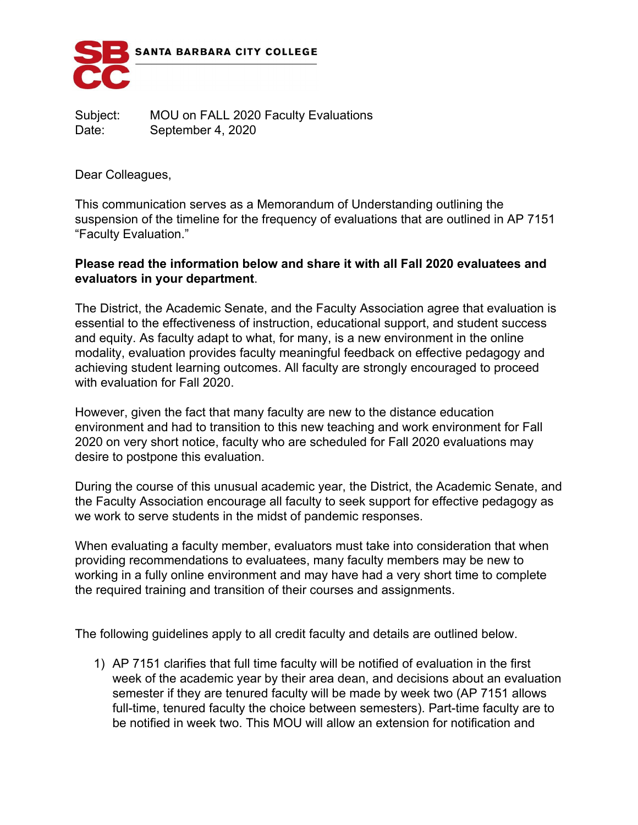

Subject: MOU on FALL 2020 Faculty Evaluations Date: September 4, 2020

Dear Colleagues,

This communication serves as a Memorandum of Understanding outlining the suspension of the timeline for the frequency of evaluations that are outlined in AP 7151 "Faculty Evaluation."

## **Please read the information below and share it with all Fall 2020 evaluatees and evaluators in your department**.

The District, the Academic Senate, and the Faculty Association agree that evaluation is essential to the effectiveness of instruction, educational support, and student success and equity. As faculty adapt to what, for many, is a new environment in the online modality, evaluation provides faculty meaningful feedback on effective pedagogy and achieving student learning outcomes. All faculty are strongly encouraged to proceed with evaluation for Fall 2020.

However, given the fact that many faculty are new to the distance education environment and had to transition to this new teaching and work environment for Fall 2020 on very short notice, faculty who are scheduled for Fall 2020 evaluations may desire to postpone this evaluation.

During the course of this unusual academic year, the District, the Academic Senate, and the Faculty Association encourage all faculty to seek support for effective pedagogy as we work to serve students in the midst of pandemic responses.

When evaluating a faculty member, evaluators must take into consideration that when providing recommendations to evaluatees, many faculty members may be new to working in a fully online environment and may have had a very short time to complete the required training and transition of their courses and assignments.

The following guidelines apply to all credit faculty and details are outlined below.

1) AP 7151 clarifies that full time faculty will be notified of evaluation in the first week of the academic year by their area dean, and decisions about an evaluation semester if they are tenured faculty will be made by week two (AP 7151 allows full-time, tenured faculty the choice between semesters). Part-time faculty are to be notified in week two. This MOU will allow an extension for notification and